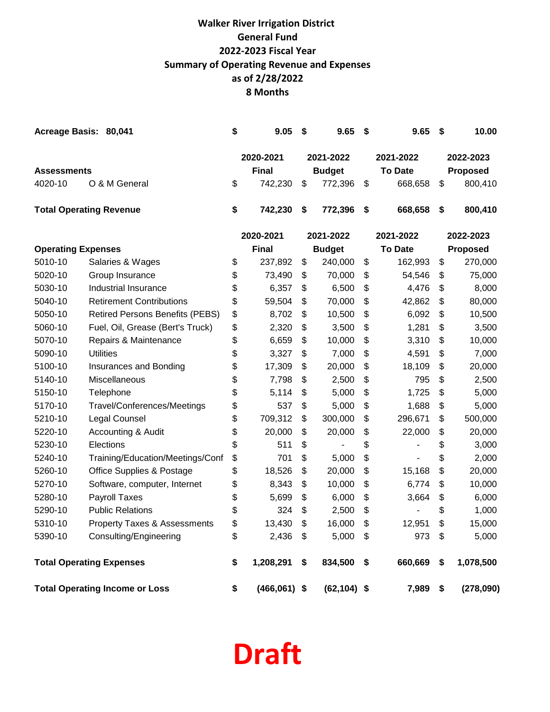# **8 Months Walker River Irrigation District General Fund 2022-2023 Fiscal Year Summary of Operating Revenue and Expenses as of 2/28/2022**

|                                                | Acreage Basis: 80,041          | S  | 9.05                    | - \$ | 9.65 S                   |      | 9.65                      | - \$ | 10.00                      |
|------------------------------------------------|--------------------------------|----|-------------------------|------|--------------------------|------|---------------------------|------|----------------------------|
|                                                |                                |    | 2020-2021               |      | 2021-2022                |      | 2021-2022                 |      | 2022-2023                  |
| <b>Assessments</b><br>O & M General<br>4020-10 |                                | S  | <b>Final</b><br>742.230 | \$.  | <b>Budget</b><br>772.396 | - \$ | <b>To Date</b><br>668.658 | \$.  | <b>Proposed</b><br>800,410 |
|                                                | <b>Total Operating Revenue</b> | \$ | 742,230                 | - \$ | 772,396                  | - \$ | 668,658                   | - \$ | 800,410                    |

|                           |                                         | 2020-2021        | 2021-2022            | 2021-2022      | 2022-2023       |
|---------------------------|-----------------------------------------|------------------|----------------------|----------------|-----------------|
| <b>Operating Expenses</b> |                                         | <b>Final</b>     | <b>Budget</b>        | <b>To Date</b> | Proposed        |
| 5010-10                   | Salaries & Wages                        | \$<br>237,892    | \$<br>240,000        | \$<br>162,993  | \$<br>270,000   |
| 5020-10                   | Group Insurance                         | \$<br>73,490     | \$<br>70,000         | \$<br>54,546   | \$<br>75,000    |
| 5030-10                   | <b>Industrial Insurance</b>             | \$<br>6,357      | \$<br>6,500          | \$<br>4,476    | \$<br>8,000     |
| 5040-10                   | <b>Retirement Contributions</b>         | \$<br>59,504     | \$<br>70,000         | \$<br>42,862   | \$<br>80,000    |
| 5050-10                   | <b>Retired Persons Benefits (PEBS)</b>  | \$<br>8,702      | \$<br>10,500         | \$<br>6,092    | \$<br>10,500    |
| 5060-10                   | Fuel, Oil, Grease (Bert's Truck)        | \$<br>2,320      | \$<br>3,500          | \$<br>1,281    | \$<br>3,500     |
| 5070-10                   | Repairs & Maintenance                   | \$<br>6,659      | \$<br>10,000         | \$<br>3,310    | \$<br>10,000    |
| 5090-10                   | <b>Utilities</b>                        | \$<br>3,327      | \$<br>7,000          | \$<br>4,591    | \$<br>7,000     |
| 5100-10                   | Insurances and Bonding                  | \$<br>17,309     | \$<br>20,000         | \$<br>18,109   | \$<br>20,000    |
| 5140-10                   | Miscellaneous                           | \$<br>7,798      | \$<br>2,500          | \$<br>795      | \$<br>2,500     |
| 5150-10                   | Telephone                               | \$<br>5,114      | \$<br>5,000          | \$<br>1,725    | \$<br>5,000     |
| 5170-10                   | Travel/Conferences/Meetings             | \$<br>537        | \$<br>5,000          | \$<br>1,688    | \$<br>5,000     |
| 5210-10                   | Legal Counsel                           | \$<br>709,312    | \$<br>300,000        | \$<br>296,671  | \$<br>500,000   |
| 5220-10                   | Accounting & Audit                      | \$<br>20,000     | \$<br>20,000         | \$<br>22,000   | \$<br>20,000    |
| 5230-10                   | Elections                               | \$<br>511        | \$                   | \$             | \$<br>3,000     |
| 5240-10                   | Training/Education/Meetings/Conf        | \$<br>701        | \$<br>5,000          | \$             | \$<br>2,000     |
| 5260-10                   | <b>Office Supplies &amp; Postage</b>    | \$<br>18,526     | \$<br>20,000         | \$<br>15,168   | \$<br>20,000    |
| 5270-10                   | Software, computer, Internet            | \$<br>8,343      | \$<br>10,000         | \$<br>6,774    | \$<br>10,000    |
| 5280-10                   | <b>Payroll Taxes</b>                    | \$<br>5,699      | \$<br>6,000          | \$<br>3,664    | \$<br>6,000     |
| 5290-10                   | <b>Public Relations</b>                 | \$<br>324        | \$<br>2,500          | \$             | \$<br>1,000     |
| 5310-10                   | <b>Property Taxes &amp; Assessments</b> | \$<br>13,430     | \$<br>16,000         | \$<br>12,951   | \$<br>15,000    |
| 5390-10                   | Consulting/Engineering                  | \$<br>2,436      | \$<br>5,000          | \$<br>973      | \$<br>5,000     |
|                           | <b>Total Operating Expenses</b>         | \$<br>1,208,291  | \$<br>834,500        | \$<br>660,669  | \$<br>1,078,500 |
|                           | <b>Total Operating Income or Loss</b>   | \$<br>(466, 061) | \$<br>$(62, 104)$ \$ | 7,989          | \$<br>(278,090) |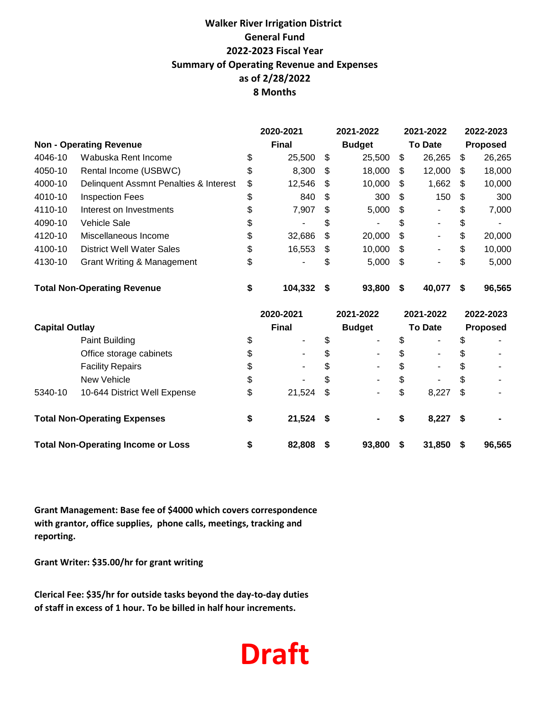### **8 Months Walker River Irrigation District General Fund 2022-2023 Fiscal Year Summary of Operating Revenue and Expenses as of 2/28/2022**

|                                    |                                           | 2020-2021     | 2021-2022     | 2021-2022                      |          | 2022-2023 |
|------------------------------------|-------------------------------------------|---------------|---------------|--------------------------------|----------|-----------|
|                                    | <b>Non - Operating Revenue</b>            | <b>Final</b>  | <b>Budget</b> | <b>To Date</b>                 |          | Proposed  |
| 4046-10                            | Wabuska Rent Income                       | \$<br>25,500  | \$<br>25,500  | \$<br>26,265                   | \$       | 26,265    |
| 4050-10                            | Rental Income (USBWC)                     | \$<br>8,300   | \$<br>18,000  | \$<br>12,000                   | \$       | 18,000    |
| 4000-10                            | Delinquent Assmnt Penalties & Interest    | \$<br>12,546  | \$<br>10,000  | \$<br>1,662                    | \$       | 10,000    |
| 4010-10                            | <b>Inspection Fees</b>                    | \$<br>840     | \$<br>300     | \$<br>150                      | \$       | 300       |
| 4110-10                            | Interest on Investments                   | \$<br>7,907   | \$<br>5,000   | \$                             | \$       | 7,000     |
| 4090-10                            | <b>Vehicle Sale</b>                       | \$            | \$            | \$                             | \$       |           |
| 4120-10                            | Miscellaneous Income                      | \$<br>32,686  | \$<br>20,000  | \$<br>$\blacksquare$           | \$       | 20,000    |
| 4100-10                            | <b>District Well Water Sales</b>          | \$<br>16,553  | \$<br>10,000  | \$                             | \$       | 10,000    |
| 4130-10                            | <b>Grant Writing &amp; Management</b>     | \$            | \$<br>5,000   | \$                             | \$       | 5,000     |
| <b>Total Non-Operating Revenue</b> |                                           | \$<br>104,332 | \$<br>93,800  | \$<br>40,077                   | \$       | 96,565    |
|                                    |                                           | 2020-2021     | 2021-2022     | 2021-2022                      |          | 2022-2023 |
| <b>Capital Outlay</b>              |                                           | <b>Final</b>  | <b>Budget</b> | <b>To Date</b>                 | Proposed |           |
|                                    | Paint Building                            | \$            | \$            | \$                             | \$       |           |
|                                    | Office storage cabinets                   | \$            | \$            | \$                             | \$       |           |
|                                    | <b>Facility Repairs</b>                   | \$            | \$            | \$<br>$\overline{\phantom{a}}$ | \$       |           |
|                                    | New Vehicle                               | \$            | \$            | \$                             | \$       |           |
| 5340-10                            | 10-644 District Well Expense              | \$<br>21,524  | \$            | \$<br>8,227                    | \$       |           |
|                                    | <b>Total Non-Operating Expenses</b>       | \$<br>21,524  | \$            | \$<br>8,227                    | \$       |           |
|                                    | <b>Total Non-Operating Income or Loss</b> | \$<br>82,808  | \$<br>93,800  | \$<br>31,850                   | \$       | 96,565    |

**Grant Management: Base fee of \$4000 which covers correspondence with grantor, office supplies, phone calls, meetings, tracking and reporting.**

**Grant Writer: \$35.00/hr for grant writing**

**Clerical Fee: \$35/hr for outside tasks beyond the day-to-day duties of staff in excess of 1 hour. To be billed in half hour increments.** 

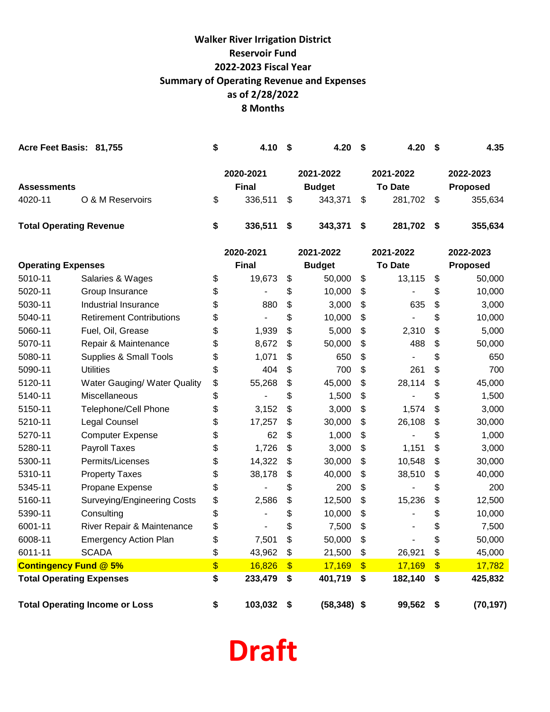# **8 Months Walker River Irrigation District Reservoir Fund 2022-2023 Fiscal Year Summary of Operating Revenue and Expenses as of 2/28/2022**

| Acre Feet Basis: 81,755               |                                    | \$ | 4.10                      | \$                    | 4.20                       | \$            | 4.20                        | S          | 4.35                         |
|---------------------------------------|------------------------------------|----|---------------------------|-----------------------|----------------------------|---------------|-----------------------------|------------|------------------------------|
| <b>Assessments</b>                    |                                    |    | 2020-2021<br><b>Final</b> |                       | 2021-2022<br><b>Budget</b> |               | 2021-2022<br><b>To Date</b> |            | 2022-2023<br><b>Proposed</b> |
|                                       | O & M Reservoirs                   | \$ |                           |                       |                            | \$            |                             |            |                              |
| 4020-11                               |                                    |    | 336,511                   | \$                    | 343,371                    |               | 281,702                     | \$         | 355,634                      |
| <b>Total Operating Revenue</b>        |                                    | \$ | 336,511                   | \$                    | 343,371                    | \$            | 281,702                     | -\$        | 355,634                      |
|                                       |                                    |    | 2020-2021                 |                       | 2021-2022                  |               | 2021-2022                   |            | 2022-2023                    |
| <b>Operating Expenses</b>             |                                    |    | <b>Final</b>              |                       | <b>Budget</b>              |               | <b>To Date</b>              |            | <b>Proposed</b>              |
| 5010-11                               | Salaries & Wages                   | \$ | 19,673                    | \$                    | 50,000                     | \$            | 13,115                      | \$         | 50,000                       |
| 5020-11                               | Group Insurance                    | \$ |                           | \$                    | 10,000                     | \$            |                             | \$         | 10,000                       |
| 5030-11                               | Industrial Insurance               | \$ | 880                       | \$                    | 3,000                      | \$            | 635                         | \$         | 3,000                        |
| 5040-11                               | <b>Retirement Contributions</b>    | \$ |                           | \$                    | 10,000                     | \$            |                             | \$         | 10,000                       |
| 5060-11                               | Fuel, Oil, Grease                  | \$ | 1,939                     | \$                    | 5,000                      | \$            | 2,310                       | \$         | 5,000                        |
| 5070-11                               | Repair & Maintenance               | \$ | 8,672                     | \$                    | 50,000                     | \$            | 488                         | \$         | 50,000                       |
| 5080-11                               | <b>Supplies &amp; Small Tools</b>  | \$ | 1,071                     | \$                    | 650                        | \$            |                             | \$         | 650                          |
| 5090-11                               | <b>Utilities</b>                   | \$ | 404                       | \$                    | 700                        | \$            | 261                         | \$         | 700                          |
| 5120-11                               | Water Gauging/ Water Quality       | \$ | 55,268                    | \$                    | 45,000                     | \$            | 28,114                      | \$         | 45,000                       |
| 5140-11                               | <b>Miscellaneous</b>               | \$ |                           | \$                    | 1,500                      | \$            |                             | \$         | 1,500                        |
| 5150-11                               | Telephone/Cell Phone               | \$ | 3,152                     | \$                    | 3,000                      | \$            | 1,574                       | \$         | 3,000                        |
| 5210-11                               | Legal Counsel                      | \$ | 17,257                    | \$                    | 30,000                     | \$            | 26,108                      | \$         | 30,000                       |
| 5270-11                               | <b>Computer Expense</b>            | \$ | 62                        | \$                    | 1,000                      | \$            |                             | \$         | 1,000                        |
| 5280-11                               | Payroll Taxes                      | \$ | 1,726                     | \$                    | 3,000                      | \$            | 1,151                       | \$         | 3,000                        |
| 5300-11                               | Permits/Licenses                   | \$ | 14,322                    | \$                    | 30,000                     | \$            | 10,548                      | \$         | 30,000                       |
| 5310-11                               | <b>Property Taxes</b>              | \$ | 38,178                    | \$                    | 40,000                     | \$            | 38,510                      | \$         | 40,000                       |
| 5345-11                               | Propane Expense                    | \$ |                           | \$                    | 200                        | \$            |                             | \$         | 200                          |
| 5160-11                               | <b>Surveying/Engineering Costs</b> | \$ | 2,586                     | \$                    | 12,500                     | \$            | 15,236                      | \$         | 12,500                       |
| 5390-11                               | Consulting                         | \$ |                           | \$                    | 10,000                     | \$            |                             | \$         | 10,000                       |
| 6001-11                               | River Repair & Maintenance         | \$ |                           | \$                    | 7,500                      | \$            | -                           | \$         | 7,500                        |
| 6008-11                               | <b>Emergency Action Plan</b>       | \$ | 7,501                     | \$                    | 50,000                     | \$            |                             | \$         | 50,000                       |
| 6011-11                               | <b>SCADA</b>                       | \$ | 43,962                    | $\boldsymbol{\theta}$ | 21,500                     | \$            | 26,921                      | \$         | 45,000                       |
| <b>Contingency Fund @ 5%</b>          |                                    | \$ | 16,826                    | $\mathbf{\$}$         | 17,169                     | $\mathbf{\$}$ | 17,169                      | $\sqrt{3}$ | 17,782                       |
|                                       | <b>Total Operating Expenses</b>    |    | 233,479                   | \$                    | 401,719                    | \$            | 182,140                     | \$         | 425,832                      |
| <b>Total Operating Income or Loss</b> |                                    | \$ | 103,032                   | \$                    | $(58,348)$ \$              |               | 99,562 \$                   |            | (70, 197)                    |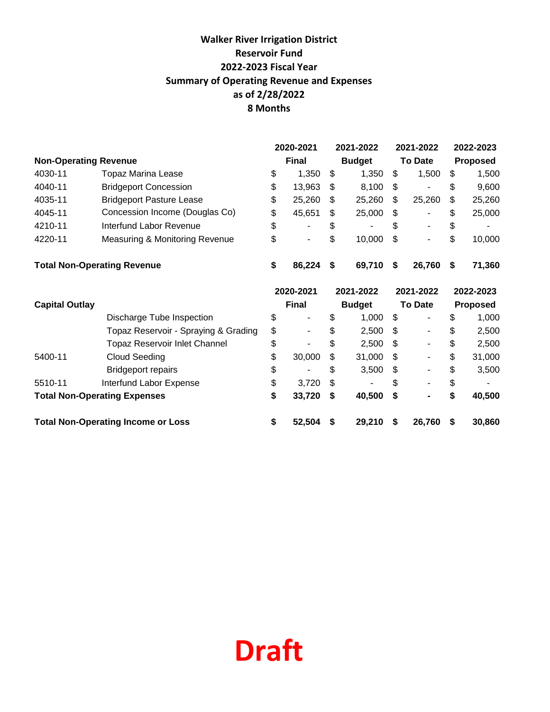# **8 Months Walker River Irrigation District Reservoir Fund 2022-2023 Fiscal Year Summary of Operating Revenue and Expenses as of 2/28/2022**

|                              |                                           |           | 2020-2021    |    | 2021-2022     |    | 2021-2022                |           | 2022-2023       |
|------------------------------|-------------------------------------------|-----------|--------------|----|---------------|----|--------------------------|-----------|-----------------|
| <b>Non-Operating Revenue</b> |                                           |           | <b>Final</b> |    | <b>Budget</b> |    | <b>To Date</b>           |           | Proposed        |
| 4030-11                      | <b>Topaz Marina Lease</b>                 | \$        | 1,350        | \$ | 1,350         | \$ | 1,500                    | \$        | 1,500           |
| 4040-11                      | <b>Bridgeport Concession</b>              | \$        | 13,963       | \$ | 8,100         | \$ |                          | \$        | 9,600           |
| 4035-11                      | <b>Bridgeport Pasture Lease</b>           | \$        | 25,260       | \$ | 25,260        | \$ | 25,260                   | \$        | 25,260          |
| 4045-11                      | Concession Income (Douglas Co)            | \$        | 45,651       | \$ | 25,000        | \$ |                          | \$        | 25,000          |
| 4210-11                      | Interfund Labor Revenue                   | \$        |              | \$ |               | S  |                          | \$        |                 |
| 4220-11                      | Measuring & Monitoring Revenue            | \$        |              | \$ | 10,000        | \$ |                          | \$        | 10,000          |
|                              | <b>Total Non-Operating Revenue</b>        | \$        | 86,224       | \$ | 69,710        | \$ | 26,760                   | S         | 71,360          |
|                              |                                           | 2020-2021 |              |    | 2021-2022     |    | 2021-2022                | 2022-2023 |                 |
| <b>Capital Outlay</b>        |                                           |           | <b>Final</b> |    | <b>Budget</b> |    | <b>To Date</b>           |           | <b>Proposed</b> |
|                              | Discharge Tube Inspection                 | \$        |              | \$ | 1,000         | \$ |                          | \$        | 1,000           |
|                              | Topaz Reservoir - Spraying & Grading      | \$        |              | \$ | 2,500         | \$ |                          | \$        | 2,500           |
|                              | <b>Topaz Reservoir Inlet Channel</b>      | \$        |              | \$ | 2,500         | \$ |                          | \$        | 2,500           |
| 5400-11                      | <b>Cloud Seeding</b>                      | \$        | 30,000       | \$ | 31,000        | \$ | $\overline{\phantom{a}}$ | \$        | 31,000          |
|                              | <b>Bridgeport repairs</b>                 | \$        |              | \$ | 3,500         | \$ |                          | \$        | 3,500           |
| 5510-11                      | Interfund Labor Expense                   | \$        | 3,720        | \$ |               | \$ |                          | \$        |                 |
|                              | <b>Total Non-Operating Expenses</b>       | \$        | 33,720       | \$ | 40,500        | \$ |                          | \$        | 40,500          |
|                              | <b>Total Non-Operating Income or Loss</b> | \$        | 52,504       | S  | 29,210        | S  | 26,760                   | S         | 30,860          |

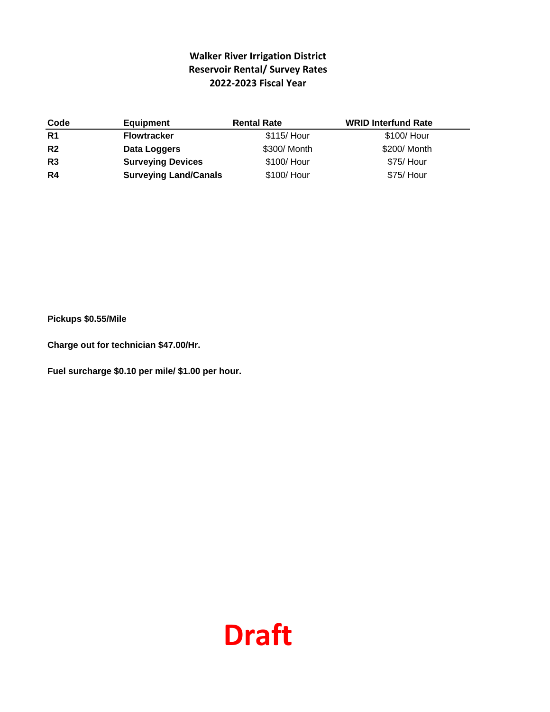#### **Walker River Irrigation District Reservoir Rental/ Survey Rates 2022-2023 Fiscal Year**

| Code           | <b>Equipment</b>             | <b>Rental Rate</b> | <b>WRID Interfund Rate</b> |
|----------------|------------------------------|--------------------|----------------------------|
| R1             | <b>Flowtracker</b>           | \$115/ Hour        | \$100/ Hour                |
| R <sub>2</sub> | Data Loggers                 | \$300/ Month       | \$200/ Month               |
| R3             | <b>Surveying Devices</b>     | \$100/ Hour        | \$75/ Hour                 |
| R4             | <b>Surveying Land/Canals</b> | \$100/ Hour        | \$75/ Hour                 |

**Pickups \$0.55/Mile**

**Charge out for technician \$47.00/Hr.**

**Fuel surcharge \$0.10 per mile/ \$1.00 per hour.**

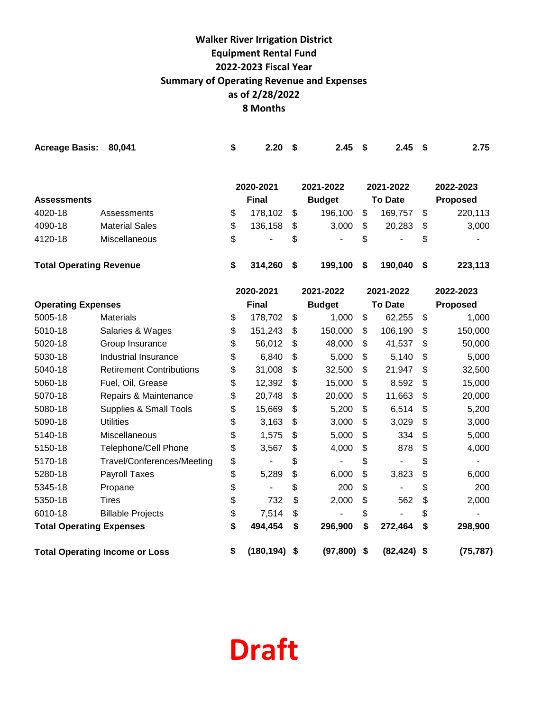# **Walker River Irrigation District Equipment Rental Fund 2022-2023 Fiscal Year Summary of Operating Revenue and Expenses as of 2/28/2022 8 Months**

| <b>Acreage Basis:</b>          | 80,041                                | \$ | 2.20         | \$<br>2.45          | \$<br>2.45     | \$<br>2.75      |
|--------------------------------|---------------------------------------|----|--------------|---------------------|----------------|-----------------|
|                                |                                       |    | 2020-2021    | 2021-2022           | 2021-2022      | 2022-2023       |
| <b>Assessments</b>             |                                       |    | <b>Final</b> | <b>Budget</b>       | <b>To Date</b> | <b>Proposed</b> |
| 4020-18                        | Assessments                           | \$ | 178,102      | \$<br>196,100       | \$<br>169,757  | \$<br>220,113   |
| 4090-18                        | <b>Material Sales</b>                 | \$ | 136,158      | \$<br>3,000         | \$<br>20,283   | \$<br>3,000     |
| 4120-18                        | Miscellaneous                         | \$ |              | \$                  | \$             | \$              |
| <b>Total Operating Revenue</b> |                                       | \$ | 314,260      | \$<br>199,100       | \$<br>190,040  | \$<br>223,113   |
|                                |                                       |    | 2020-2021    | 2021-2022           | 2021-2022      | 2022-2023       |
| <b>Operating Expenses</b>      |                                       |    | <b>Final</b> | <b>Budget</b>       | <b>To Date</b> | <b>Proposed</b> |
| 5005-18                        | <b>Materials</b>                      | \$ | 178,702      | \$<br>1,000         | \$<br>62,255   | \$<br>1,000     |
| 5010-18                        | Salaries & Wages                      | \$ | 151,243      | \$<br>150,000       | \$<br>106,190  | \$<br>150,000   |
| 5020-18                        | Group Insurance                       | \$ | 56,012       | \$<br>48,000        | \$<br>41,537   | \$<br>50,000    |
| 5030-18                        | Industrial Insurance                  | \$ | 6,840        | \$<br>5,000         | \$<br>5,140    | \$<br>5,000     |
| 5040-18                        | <b>Retirement Contributions</b>       | \$ | 31,008       | \$<br>32,500        | \$<br>21,947   | \$<br>32,500    |
| 5060-18                        | Fuel, Oil, Grease                     | \$ | 12,392       | \$<br>15,000        | \$<br>8,592    | \$<br>15,000    |
| 5070-18                        | Repairs & Maintenance                 | \$ | 20,748       | \$<br>20,000        | \$<br>11,663   | \$<br>20,000    |
| 5080-18                        | Supplies & Small Tools                | \$ | 15,669       | \$<br>5,200         | \$<br>6,514    | \$<br>5,200     |
| 5090-18                        | <b>Utilities</b>                      | \$ | 3,163        | \$<br>3,000         | \$<br>3,029    | \$<br>3,000     |
| 5140-18                        | Miscellaneous                         | \$ | 1,575        | \$<br>5,000         | \$<br>334      | \$<br>5,000     |
| 5150-18                        | <b>Telephone/Cell Phone</b>           | \$ | 3,567        | \$<br>4,000         | \$<br>878      | \$<br>4,000     |
| 5170-18                        | Travel/Conferences/Meeting            | \$ |              | \$<br>$\frac{1}{2}$ | \$             | \$              |
| 5280-18                        | Payroll Taxes                         | \$ | 5,289        | \$<br>6,000         | \$<br>3,823    | \$<br>6,000     |
| 5345-18                        | Propane                               | \$ |              | \$<br>200           | \$             | \$<br>200       |
| 5350-18                        | <b>Tires</b>                          | \$ | 732          | \$<br>2,000         | \$<br>562      | \$<br>2,000     |
| 6010-18                        | <b>Billable Projects</b>              | \$ | 7,514        | \$                  | \$             | \$              |
|                                | <b>Total Operating Expenses</b>       |    | 494,454      | \$<br>296,900       | \$<br>272,464  | \$<br>298,900   |
|                                | <b>Total Operating Income or Loss</b> | \$ | (180, 194)   | \$<br>$(97,800)$ \$ | $(82, 424)$ \$ | (75, 787)       |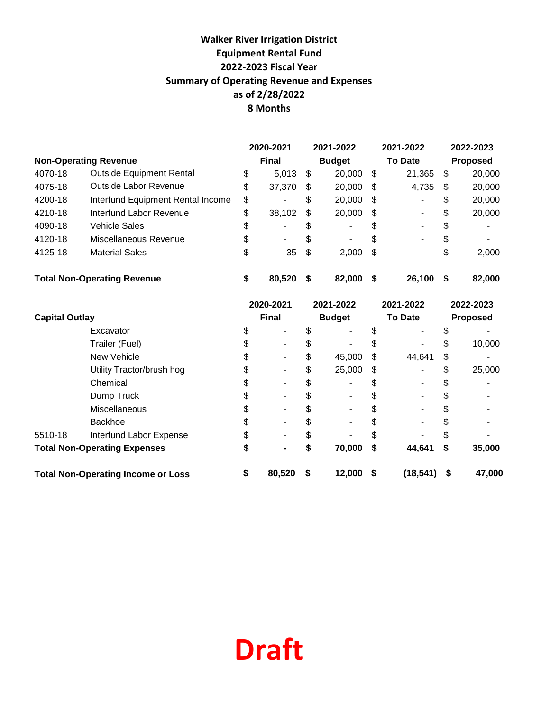# **Walker River Irrigation District Equipment Rental Fund 2022-2023 Fiscal Year Summary of Operating Revenue and Expenses as of 2/28/2022 8 Months**

|                                    |                                   | 2020-2021                     |        |     | 2021-2022 |                | 2021-2022       | 2022-2023 |        |
|------------------------------------|-----------------------------------|-------------------------------|--------|-----|-----------|----------------|-----------------|-----------|--------|
|                                    | <b>Non-Operating Revenue</b>      | <b>Final</b><br><b>Budget</b> |        |     |           | <b>To Date</b> | <b>Proposed</b> |           |        |
| 4070-18                            | <b>Outside Equipment Rental</b>   | \$                            | 5,013  | -\$ | 20,000    | \$             | 21,365          | \$        | 20,000 |
| 4075-18                            | Outside Labor Revenue             | \$                            | 37,370 | \$  | 20,000    | \$             | 4,735           | \$        | 20,000 |
| 4200-18                            | Interfund Equipment Rental Income | \$                            | ٠      | \$  | 20,000    | \$             | ۰.              | \$        | 20,000 |
| 4210-18                            | Interfund Labor Revenue           | \$                            | 38,102 | -\$ | 20,000    | \$             | ۰.              | \$        | 20,000 |
| 4090-18                            | Vehicle Sales                     | \$                            | ۰      | \$  | ٠         | \$             | ۰.              | \$        |        |
| 4120-18                            | Miscellaneous Revenue             | \$                            | ۰.     | \$  | ۰.        | \$             | ۰.              | \$        | ۰      |
| 4125-18                            | <b>Material Sales</b>             | \$                            | 35     | -\$ | 2,000     | \$             | ۰               | \$        | 2,000  |
| <b>Total Non-Operating Revenue</b> |                                   | \$                            | 80.520 | S   | 82,000    | S              | 26,100          | S         | 82,000 |

|                                     |                                           | 2020-2021 |                |    | 2021-2022     |      | 2021-2022      |    | 2022-2023 |  |
|-------------------------------------|-------------------------------------------|-----------|----------------|----|---------------|------|----------------|----|-----------|--|
| <b>Capital Outlay</b>               |                                           |           | <b>Final</b>   |    | <b>Budget</b> |      | <b>To Date</b> |    | Proposed  |  |
|                                     | Excavator                                 |           |                |    | -             |      |                |    |           |  |
|                                     | Trailer (Fuel)                            |           |                |    |               |      |                |    | 10,000    |  |
|                                     | New Vehicle                               |           |                |    | 45,000        | S    | 44,641         | \$ |           |  |
|                                     | Utility Tractor/brush hog                 |           |                |    | 25,000        | \$   |                |    | 25,000    |  |
|                                     | Chemical                                  |           |                |    |               | S    |                |    |           |  |
|                                     | Dump Truck                                |           |                |    |               | S    |                |    |           |  |
|                                     | Miscellaneous                             |           |                |    |               |      |                |    |           |  |
|                                     | <b>Backhoe</b>                            |           |                |    |               |      |                |    |           |  |
| 5510-18                             | Interfund Labor Expense                   |           |                |    |               |      |                |    |           |  |
| <b>Total Non-Operating Expenses</b> |                                           | S         | $\blacksquare$ | S  | 70,000        | S    | 44,641         | \$ | 35,000    |  |
|                                     | <b>Total Non-Operating Income or Loss</b> | \$        | 80,520         | \$ | 12,000        | - \$ | (18, 541)      | \$ | 47,000    |  |

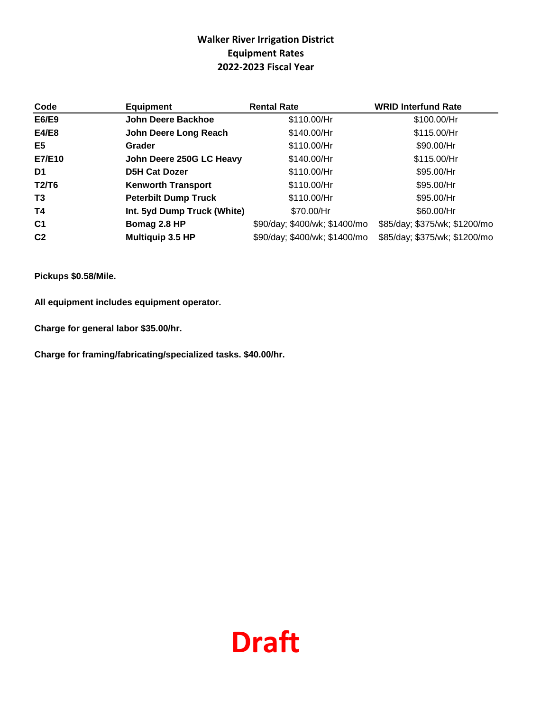#### **Walker River Irrigation District Equipment Rates 2022-2023 Fiscal Year**

| Code           | <b>Equipment</b>            | <b>Rental Rate</b>            | <b>WRID Interfund Rate</b>    |
|----------------|-----------------------------|-------------------------------|-------------------------------|
| E6/E9          | John Deere Backhoe          | \$110.00/Hr                   | \$100.00/Hr                   |
| E4/E8          | John Deere Long Reach       | \$140.00/Hr                   | \$115.00/Hr                   |
| E5             | Grader                      | \$110.00/Hr                   | \$90.00/Hr                    |
| E7/E10         | John Deere 250G LC Heavy    | \$140.00/Hr                   | \$115.00/Hr                   |
| D1             | <b>D5H Cat Dozer</b>        | \$110.00/Hr                   | \$95.00/Hr                    |
| T2/T6          | <b>Kenworth Transport</b>   | \$110.00/Hr                   | \$95.00/Hr                    |
| T <sub>3</sub> | <b>Peterbilt Dump Truck</b> | \$110.00/Hr                   | \$95.00/Hr                    |
| <b>T4</b>      | Int. 5yd Dump Truck (White) | \$70.00/Hr                    | \$60.00/Hr                    |
| C <sub>1</sub> | Bomag 2.8 HP                | \$90/day; \$400/wk; \$1400/mo | \$85/day; \$375/wk; \$1200/mo |
| C <sub>2</sub> | Multiquip 3.5 HP            | \$90/day; \$400/wk; \$1400/mo | \$85/day; \$375/wk; \$1200/mo |

**Pickups \$0.58/Mile.**

**All equipment includes equipment operator.**

**Charge for general labor \$35.00/hr.**

**Charge for framing/fabricating/specialized tasks. \$40.00/hr.**

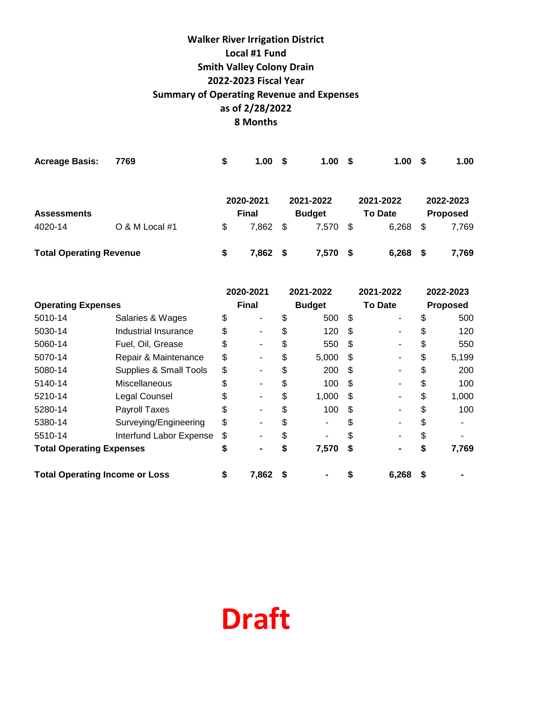# **8 Months Walker River Irrigation District Local #1 Fund Smith Valley Colony Drain 2022-2023 Fiscal Year Summary of Operating Revenue and Expenses as of 2/28/2022**

| <b>Acreage Basis:</b>          | 7769           | \$<br>1.00 <sub>1</sub> | \$            | 1.00      | - \$ | 1.00           | -\$             | 1.00      |
|--------------------------------|----------------|-------------------------|---------------|-----------|------|----------------|-----------------|-----------|
|                                |                | 2020-2021               |               | 2021-2022 |      | 2021-2022      |                 | 2022-2023 |
| <b>Assessments</b>             |                | <b>Final</b>            | <b>Budget</b> |           |      | <b>To Date</b> | <b>Proposed</b> |           |
| 4020-14                        | O & M Local #1 | \$<br>7,862             | -\$           | 7,570     | - \$ | 6,268          | \$              | 7,769     |
| <b>Total Operating Revenue</b> |                | \$<br>7.862             | - S           | 7,570     | - S  | 6,268          | - \$            | 7,769     |

|                                       |                                   | 2020-2021    |                |    | 2021-2022     |     | 2021-2022      | 2022-2023 |       |
|---------------------------------------|-----------------------------------|--------------|----------------|----|---------------|-----|----------------|-----------|-------|
| <b>Operating Expenses</b>             |                                   | <b>Final</b> |                |    | <b>Budget</b> |     | <b>To Date</b> | Proposed  |       |
| 5010-14                               | Salaries & Wages                  | \$           |                | \$ | 500           | -\$ |                | \$        | 500   |
| 5030-14                               | Industrial Insurance              | \$           |                | S  | 120           | \$. |                | S         | 120   |
| 5060-14                               | Fuel, Oil, Grease                 | \$           |                | \$ | 550           | -S  |                | \$        | 550   |
| 5070-14                               | Repair & Maintenance              | \$           |                | \$ | 5,000         | \$. |                | \$        | 5,199 |
| 5080-14                               | <b>Supplies &amp; Small Tools</b> | \$           |                | \$ | 200           | -S  |                | S         | 200   |
| 5140-14                               | Miscellaneous                     | \$           |                | \$ | 100           | \$. |                | \$        | 100   |
| 5210-14                               | Legal Counsel                     | \$           |                | \$ | 1,000         | \$  |                | \$        | 1,000 |
| 5280-14                               | Payroll Taxes                     | \$           |                | \$ | 100           | \$. |                | \$        | 100   |
| 5380-14                               | Surveying/Engineering             | \$           |                | \$ |               |     |                | \$        |       |
| 5510-14                               | Interfund Labor Expense           | \$           |                | \$ |               |     |                | S         |       |
| <b>Total Operating Expenses</b>       |                                   | \$           | $\blacksquare$ | \$ | 7,570         | S.  |                | S         | 7,769 |
| <b>Total Operating Income or Loss</b> |                                   | \$           | 7,862          |    |               |     | 6,268          | \$        |       |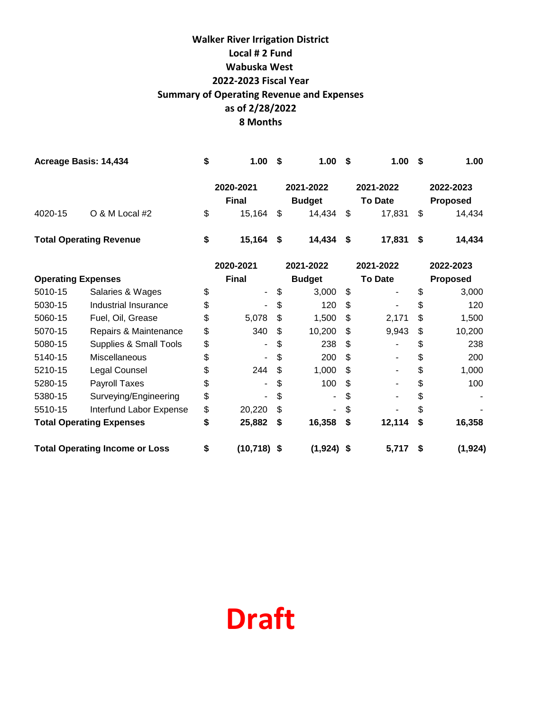# **8 Months Walker River Irrigation District Local # 2 Fund Wabuska West 2022-2023 Fiscal Year Summary of Operating Revenue and Expenses as of 2/28/2022**

| Acreage Basis: 14,434           |                         | \$ | 1.00                      | S              | 1.00                       | Ŝ. | 1.00                        | - \$            | 1.00                         |  |  |
|---------------------------------|-------------------------|----|---------------------------|----------------|----------------------------|----|-----------------------------|-----------------|------------------------------|--|--|
|                                 |                         |    | 2020-2021<br><b>Final</b> |                | 2021-2022<br><b>Budget</b> |    | 2021-2022<br><b>To Date</b> |                 | 2022-2023<br><b>Proposed</b> |  |  |
| 4020-15                         | O & M Local #2          | \$ | 15,164                    | $\mathfrak{S}$ | 14,434                     | \$ | 17,831                      | \$              | 14,434                       |  |  |
| <b>Total Operating Revenue</b>  |                         | \$ | 15,164                    | \$             | 14,434                     | \$ | 17,831                      | \$              | 14,434                       |  |  |
|                                 |                         |    | 2020-2021                 |                | 2021-2022<br>2021-2022     |    |                             |                 | 2022-2023                    |  |  |
| <b>Operating Expenses</b>       |                         |    | <b>Final</b>              |                | <b>Budget</b>              |    | <b>To Date</b>              | <b>Proposed</b> |                              |  |  |
| 5010-15                         | Salaries & Wages        | \$ | ۰                         |                | 3,000                      | \$ |                             | S               | 3,000                        |  |  |
| 5030-15                         | Industrial Insurance    | \$ |                           |                | 120                        | \$ |                             | \$              | 120                          |  |  |
| 5060-15                         | Fuel, Oil, Grease       | \$ | 5,078                     |                | 1,500                      | \$ | 2,171                       | \$              | 1,500                        |  |  |
| 5070-15                         | Repairs & Maintenance   | \$ | 340                       | \$             | 10,200                     | \$ | 9,943                       | \$              | 10,200                       |  |  |
| 5080-15                         | Supplies & Small Tools  | \$ | ٠                         | \$             | 238                        | \$ |                             | \$              | 238                          |  |  |
| 5140-15                         | Miscellaneous           | \$ |                           | \$             | 200                        | \$ |                             | \$              | 200                          |  |  |
| 5210-15                         | Legal Counsel           | \$ | 244                       |                | 1,000                      | \$ |                             | \$              | 1,000                        |  |  |
| 5280-15                         | Payroll Taxes           | \$ |                           | \$             | 100                        | \$ |                             | \$              | 100                          |  |  |
| 5380-15                         | Surveying/Engineering   | \$ |                           | \$             |                            | \$ |                             | \$              |                              |  |  |
| 5510-15                         | Interfund Labor Expense | \$ | 20,220                    |                |                            | \$ |                             | \$              |                              |  |  |
| <b>Total Operating Expenses</b> |                         |    | 25,882                    | \$             | 16,358                     | \$ | 12,114                      | S               | 16,358                       |  |  |

**Total Operating Income or Loss \$ (10,718) \$ (1,924) \$ 5,717 \$ (1,924)**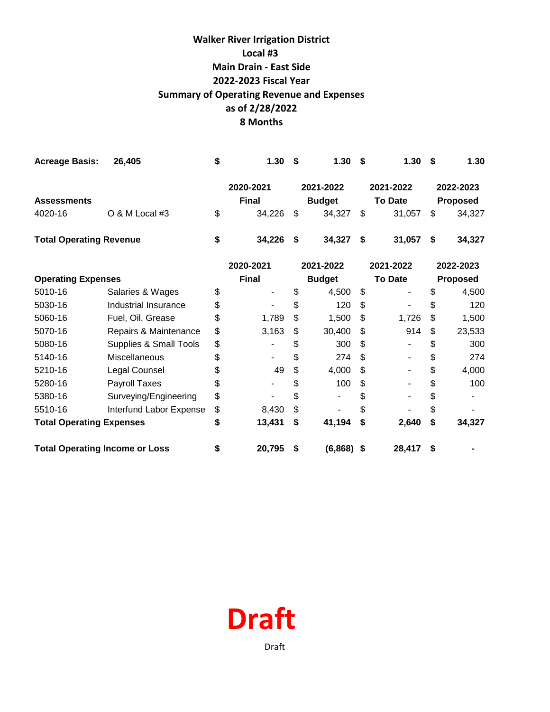# **8 Months Walker River Irrigation District Local #3 Main Drain - East Side 2022-2023 Fiscal Year Summary of Operating Revenue and Expenses as of 2/28/2022**

| <b>Acreage Basis:</b>                 | 26,405                  | \$<br>1.30   | \$            | 1.30          | S  | 1.30           | \$       | 1.30      |  |
|---------------------------------------|-------------------------|--------------|---------------|---------------|----|----------------|----------|-----------|--|
|                                       |                         | 2020-2021    |               | 2021-2022     |    | 2021-2022      |          | 2022-2023 |  |
| <b>Assessments</b>                    |                         | <b>Final</b> |               | <b>Budget</b> |    | <b>To Date</b> |          | Proposed  |  |
| 4020-16                               | O & M Local #3          | \$<br>34,226 | \$            | 34,327        | \$ | 31,057         | \$       | 34,327    |  |
| <b>Total Operating Revenue</b>        |                         | \$<br>34,226 | \$            | 34,327        | \$ | 31,057         | \$       | 34,327    |  |
|                                       |                         | 2020-2021    |               | 2021-2022     |    | 2021-2022      |          | 2022-2023 |  |
| <b>Operating Expenses</b>             |                         | <b>Final</b> | <b>Budget</b> |               |    | <b>To Date</b> | Proposed |           |  |
| 5010-16                               | Salaries & Wages        | \$           | \$            | 4,500         | \$ |                | \$       | 4,500     |  |
| 5030-16                               | Industrial Insurance    | \$           | \$            | 120           | \$ | -              | \$       | 120       |  |
| 5060-16                               | Fuel, Oil, Grease       | \$<br>1,789  | \$            | 1,500         | \$ | 1,726          | \$       | 1,500     |  |
| 5070-16                               | Repairs & Maintenance   | \$<br>3,163  | \$            | 30,400        | \$ | 914            | \$       | 23,533    |  |
| 5080-16                               | Supplies & Small Tools  | \$           | \$            | 300           | \$ |                | \$       | 300       |  |
| 5140-16                               | <b>Miscellaneous</b>    | \$<br>٠      | \$            | 274           | \$ |                | \$       | 274       |  |
| 5210-16                               | Legal Counsel           | \$<br>49     | \$            | 4,000         | \$ |                | \$       | 4,000     |  |
| 5280-16                               | Payroll Taxes           | \$           | \$            | 100           | \$ |                | \$       | 100       |  |
| 5380-16                               | Surveying/Engineering   | \$           | \$            |               | \$ |                | \$       |           |  |
| 5510-16                               | Interfund Labor Expense | \$<br>8,430  | \$            |               | \$ |                | \$       |           |  |
| <b>Total Operating Expenses</b>       |                         | \$<br>13,431 | \$            | 41,194        | \$ | 2,640          | \$       | 34,327    |  |
| <b>Total Operating Income or Loss</b> |                         | \$<br>20,795 | S             | $(6,868)$ \$  |    | 28,417         | \$       |           |  |

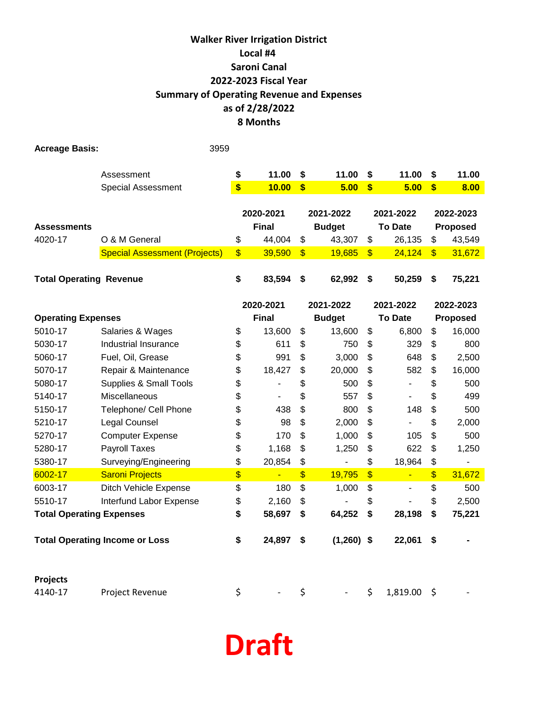### **as of 2/28/2022 Walker River Irrigation District Local #4 Saroni Canal 2022-2023 Fiscal Year Summary of Operating Revenue and Expenses 8 Months**

| <b>Acreage Basis:</b>                 |                                      | 3959 |                   |                |                          |               |                         |                          |               |                 |
|---------------------------------------|--------------------------------------|------|-------------------|----------------|--------------------------|---------------|-------------------------|--------------------------|---------------|-----------------|
|                                       | Assessment                           |      | \$                | 11.00          | \$                       | 11.00         | \$                      | 11.00                    | \$            | 11.00           |
|                                       | <b>Special Assessment</b>            |      | $\boldsymbol{\$}$ | 10.00          | $\overline{\mathbf{s}}$  | 5.00          | $\boldsymbol{\$}$       | 5.00                     | \$            | 8.00            |
|                                       |                                      |      |                   |                |                          |               |                         |                          |               |                 |
|                                       |                                      |      |                   | 2020-2021      |                          | 2021-2022     |                         | 2021-2022                |               | 2022-2023       |
| <b>Assessments</b>                    |                                      |      |                   | <b>Final</b>   |                          | <b>Budget</b> |                         | <b>To Date</b>           |               | <b>Proposed</b> |
| 4020-17                               | O & M General                        |      | \$                | 44,004         | \$                       | 43,307        | \$                      | 26,135                   | \$            | 43,549          |
|                                       | <b>Special Assessment (Projects)</b> |      | $\frac{1}{2}$     | 39,590         | $\frac{1}{2}$            | 19,685        | \$                      | 24,124                   | $\frac{1}{2}$ | 31,672          |
|                                       |                                      |      |                   |                |                          |               |                         |                          |               |                 |
| <b>Total Operating Revenue</b>        |                                      |      | \$                | 83,594         | \$                       | 62,992        | \$                      | 50,259                   | \$            | 75,221          |
|                                       |                                      |      |                   | 2020-2021      |                          | 2021-2022     |                         | 2021-2022                |               | 2022-2023       |
| <b>Operating Expenses</b>             |                                      |      |                   | <b>Final</b>   | <b>Budget</b>            |               |                         | <b>To Date</b>           | Proposed      |                 |
| 5010-17                               | Salaries & Wages                     |      | \$                | 13,600         | \$                       | 13,600        | \$                      | 6,800                    | \$            | 16,000          |
| 5030-17                               | Industrial Insurance                 |      | \$                | 611            | \$                       | 750           | \$                      | 329                      | \$            | 800             |
| 5060-17                               | Fuel, Oil, Grease                    |      | \$                | 991            | \$                       | 3,000         | \$                      | 648                      | \$            | 2,500           |
| 5070-17                               | Repair & Maintenance                 |      | \$                | 18,427         | \$                       | 20,000        | \$                      | 582                      | \$            | 16,000          |
| 5080-17                               | <b>Supplies &amp; Small Tools</b>    |      | \$                |                | \$                       | 500           | \$                      |                          | \$            | 500             |
| 5140-17                               | Miscellaneous                        |      | \$                | $\blacksquare$ | \$                       | 557           | \$                      |                          | \$            | 499             |
| 5150-17                               | Telephone/ Cell Phone                |      | \$                | 438            | \$                       | 800           | \$                      | 148                      | \$            | 500             |
| 5210-17                               | Legal Counsel                        |      | \$                | 98             | \$                       | 2,000         | \$                      | ÷,                       | \$            | 2,000           |
| 5270-17                               | <b>Computer Expense</b>              |      | \$                | 170            | \$                       | 1,000         | \$                      | 105                      | \$            | 500             |
| 5280-17                               | <b>Payroll Taxes</b>                 |      | \$                | 1,168          | \$                       | 1,250         | \$                      | 622                      | \$            | 1,250           |
| 5380-17                               | Surveying/Engineering                |      | \$                | 20,854         | \$                       |               | \$                      | 18,964                   | \$            | $\blacksquare$  |
| 6002-17                               | <b>Saroni Projects</b>               |      | \$                | Ξ              | $\overline{\mathcal{L}}$ | 19,795        | $\overline{\mathbf{S}}$ | Ξ                        | $\frac{1}{2}$ | 31,672          |
| 6003-17                               | Ditch Vehicle Expense                |      | \$                | 180            | \$                       | 1,000         | \$                      | $\overline{\phantom{a}}$ | \$            | 500             |
| 5510-17                               | Interfund Labor Expense              |      | \$                | 2,160          | \$                       |               | \$                      |                          | \$            | 2,500           |
| <b>Total Operating Expenses</b>       |                                      |      | \$                | 58,697         | \$                       | 64,252        | \$                      | 28,198                   | \$            | 75,221          |
| <b>Total Operating Income or Loss</b> |                                      |      | \$                | 24,897         | \$                       | $(1,260)$ \$  |                         | 22,061                   | \$            |                 |
| Projects                              |                                      |      |                   |                |                          |               |                         |                          |               |                 |
| 4140-17                               | Project Revenue                      |      | \$                |                | \$                       |               | \$                      | 1,819.00                 | \$            |                 |